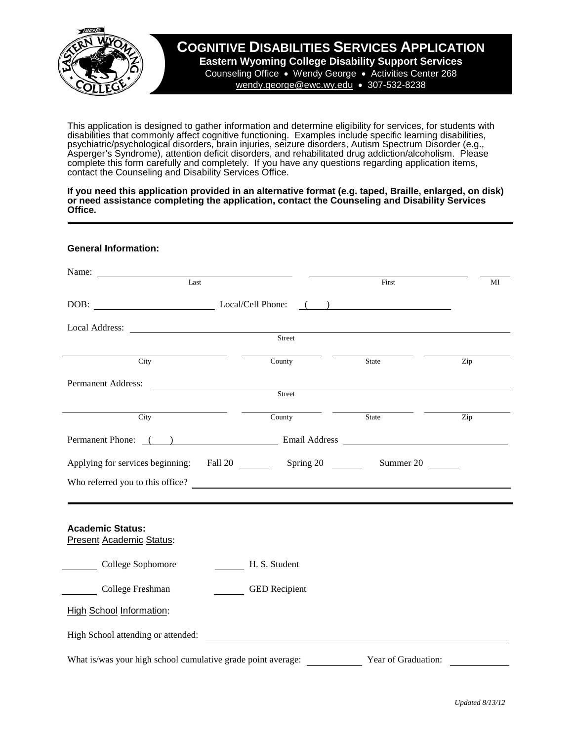

## **COGNITIVE DISABILITIES SERVICES APPLICATION**

**Eastern Wyoming College Disability Support Services** Counseling Office • Wendy George • Activities Center 268 [wendy.george@ewc.wy.edu](mailto:michele.ogburn@ewc.wy.edu) • 307-532-8238

This application is designed to gather information and determine eligibility for services, for students with disabilities that commonly affect cognitive functioning. Examples include specific learning disabilities, psychiatric/psychological disorders, brain injuries, seizure disorders, Autism Spectrum Disorder (e.g., Asperger's Syndrome), attention deficit disorders, and rehabilitated drug addiction/alcoholism. Please complete this form carefully and completely. If you have any questions regarding application items, contact the Counseling and Disability Services Office.

**If you need this application provided in an alternative format (e.g. taped, Braille, enlarged, on disk) or need assistance completing the application, contact the Counseling and Disability Services Office.**

| <b>General Information:</b>                                                                                                                                                                                                                                                                                                                                                                                                                       |                      |                     |                   |
|---------------------------------------------------------------------------------------------------------------------------------------------------------------------------------------------------------------------------------------------------------------------------------------------------------------------------------------------------------------------------------------------------------------------------------------------------|----------------------|---------------------|-------------------|
| Name: $\frac{1}{\sqrt{1-\frac{1}{2}} \cdot \frac{1}{2} \cdot \frac{1}{2} \cdot \frac{1}{2} \cdot \frac{1}{2} \cdot \frac{1}{2} \cdot \frac{1}{2} \cdot \frac{1}{2} \cdot \frac{1}{2} \cdot \frac{1}{2} \cdot \frac{1}{2} \cdot \frac{1}{2} \cdot \frac{1}{2} \cdot \frac{1}{2} \cdot \frac{1}{2} \cdot \frac{1}{2} \cdot \frac{1}{2} \cdot \frac{1}{2} \cdot \frac{1}{2} \cdot \frac{1}{2} \cdot \frac{1}{2} \cdot \frac{1}{2} \cdot \frac{1}{2}$ |                      |                     |                   |
| $\overline{\text{Last}}$                                                                                                                                                                                                                                                                                                                                                                                                                          |                      | First               | MI                |
| DOB: Local/Cell Phone: ()                                                                                                                                                                                                                                                                                                                                                                                                                         |                      |                     |                   |
|                                                                                                                                                                                                                                                                                                                                                                                                                                                   |                      |                     |                   |
|                                                                                                                                                                                                                                                                                                                                                                                                                                                   | Street               |                     |                   |
| City                                                                                                                                                                                                                                                                                                                                                                                                                                              | County               | State               | Zip               |
| Permanent Address:                                                                                                                                                                                                                                                                                                                                                                                                                                |                      |                     |                   |
|                                                                                                                                                                                                                                                                                                                                                                                                                                                   | Street               |                     |                   |
| City                                                                                                                                                                                                                                                                                                                                                                                                                                              | County               | State               | $\overline{Z}$ ip |
| Permanent Phone: () Email Address Email Address                                                                                                                                                                                                                                                                                                                                                                                                   |                      |                     |                   |
|                                                                                                                                                                                                                                                                                                                                                                                                                                                   |                      | Summer 20           |                   |
| Who referred you to this office?                                                                                                                                                                                                                                                                                                                                                                                                                  |                      |                     |                   |
|                                                                                                                                                                                                                                                                                                                                                                                                                                                   |                      |                     |                   |
| <b>Academic Status:</b><br><b>Present Academic Status:</b>                                                                                                                                                                                                                                                                                                                                                                                        |                      |                     |                   |
| College Sophomore                                                                                                                                                                                                                                                                                                                                                                                                                                 | H. S. Student        |                     |                   |
| College Freshman                                                                                                                                                                                                                                                                                                                                                                                                                                  | <b>GED</b> Recipient |                     |                   |
| <b>High School Information:</b>                                                                                                                                                                                                                                                                                                                                                                                                                   |                      |                     |                   |
| High School attending or attended:                                                                                                                                                                                                                                                                                                                                                                                                                |                      |                     |                   |
| What is/was your high school cumulative grade point average:                                                                                                                                                                                                                                                                                                                                                                                      |                      | Year of Graduation: |                   |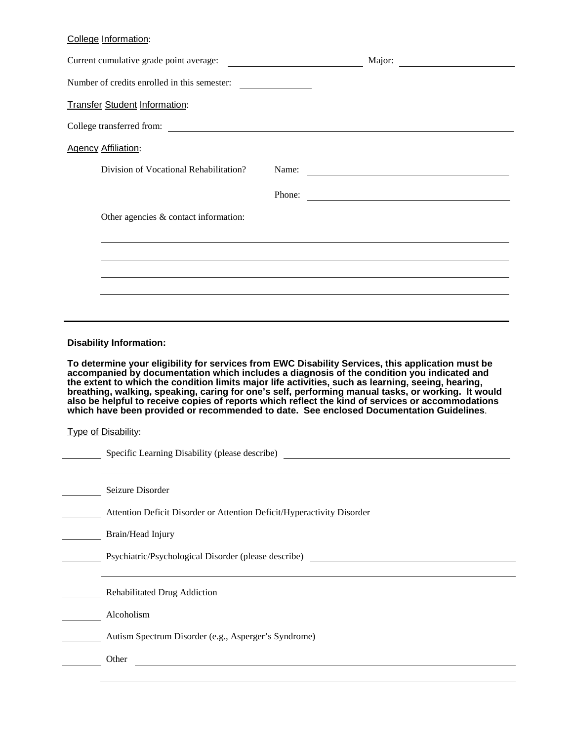## College Information:

|                                                                                                                                                                                                                                                                                                                                                                                                                                                                                                                                                                                                             | Current cumulative grade point average:                                | Major:                                                                            |  |  |  |
|-------------------------------------------------------------------------------------------------------------------------------------------------------------------------------------------------------------------------------------------------------------------------------------------------------------------------------------------------------------------------------------------------------------------------------------------------------------------------------------------------------------------------------------------------------------------------------------------------------------|------------------------------------------------------------------------|-----------------------------------------------------------------------------------|--|--|--|
|                                                                                                                                                                                                                                                                                                                                                                                                                                                                                                                                                                                                             | Number of credits enrolled in this semester:                           |                                                                                   |  |  |  |
|                                                                                                                                                                                                                                                                                                                                                                                                                                                                                                                                                                                                             | <b>Transfer Student Information:</b>                                   |                                                                                   |  |  |  |
|                                                                                                                                                                                                                                                                                                                                                                                                                                                                                                                                                                                                             | College transferred from:                                              |                                                                                   |  |  |  |
|                                                                                                                                                                                                                                                                                                                                                                                                                                                                                                                                                                                                             | <b>Agency Affiliation:</b>                                             |                                                                                   |  |  |  |
|                                                                                                                                                                                                                                                                                                                                                                                                                                                                                                                                                                                                             | Division of Vocational Rehabilitation?                                 |                                                                                   |  |  |  |
|                                                                                                                                                                                                                                                                                                                                                                                                                                                                                                                                                                                                             |                                                                        | Phone:                                                                            |  |  |  |
|                                                                                                                                                                                                                                                                                                                                                                                                                                                                                                                                                                                                             | Other agencies $&$ contact information:                                |                                                                                   |  |  |  |
|                                                                                                                                                                                                                                                                                                                                                                                                                                                                                                                                                                                                             |                                                                        |                                                                                   |  |  |  |
|                                                                                                                                                                                                                                                                                                                                                                                                                                                                                                                                                                                                             |                                                                        |                                                                                   |  |  |  |
|                                                                                                                                                                                                                                                                                                                                                                                                                                                                                                                                                                                                             |                                                                        |                                                                                   |  |  |  |
|                                                                                                                                                                                                                                                                                                                                                                                                                                                                                                                                                                                                             |                                                                        |                                                                                   |  |  |  |
|                                                                                                                                                                                                                                                                                                                                                                                                                                                                                                                                                                                                             | <b>Disability Information:</b>                                         |                                                                                   |  |  |  |
| To determine your eligibility for services from EWC Disability Services, this application must be<br>accompanied by documentation which includes a diagnosis of the condition you indicated and<br>the extent to which the condition limits major life activities, such as learning, seeing, hearing,<br>breathing, walking, speaking, caring for one's self, performing manual tasks, or working. It would<br>also be helpful to receive copies of reports which reflect the kind of services or accommodations<br>which have been provided or recommended to date. See enclosed Documentation Guidelines. |                                                                        |                                                                                   |  |  |  |
|                                                                                                                                                                                                                                                                                                                                                                                                                                                                                                                                                                                                             | <b>Type of Disability:</b>                                             |                                                                                   |  |  |  |
|                                                                                                                                                                                                                                                                                                                                                                                                                                                                                                                                                                                                             |                                                                        | Specific Learning Disability (please describe) __________________________________ |  |  |  |
|                                                                                                                                                                                                                                                                                                                                                                                                                                                                                                                                                                                                             | Seizure Disorder                                                       |                                                                                   |  |  |  |
|                                                                                                                                                                                                                                                                                                                                                                                                                                                                                                                                                                                                             | Attention Deficit Disorder or Attention Deficit/Hyperactivity Disorder |                                                                                   |  |  |  |
|                                                                                                                                                                                                                                                                                                                                                                                                                                                                                                                                                                                                             | Brain/Head Injury                                                      |                                                                                   |  |  |  |
|                                                                                                                                                                                                                                                                                                                                                                                                                                                                                                                                                                                                             | Psychiatric/Psychological Disorder (please describe)                   | <u> 1989 - Johann Harry Barn, mars ar breist fan de Fryske k</u>                  |  |  |  |
|                                                                                                                                                                                                                                                                                                                                                                                                                                                                                                                                                                                                             | <b>Rehabilitated Drug Addiction</b>                                    |                                                                                   |  |  |  |
|                                                                                                                                                                                                                                                                                                                                                                                                                                                                                                                                                                                                             | Alcoholism                                                             |                                                                                   |  |  |  |
|                                                                                                                                                                                                                                                                                                                                                                                                                                                                                                                                                                                                             | Autism Spectrum Disorder (e.g., Asperger's Syndrome)                   |                                                                                   |  |  |  |

 $\overline{\phantom{a}}$  Other  $\overline{\phantom{a}}$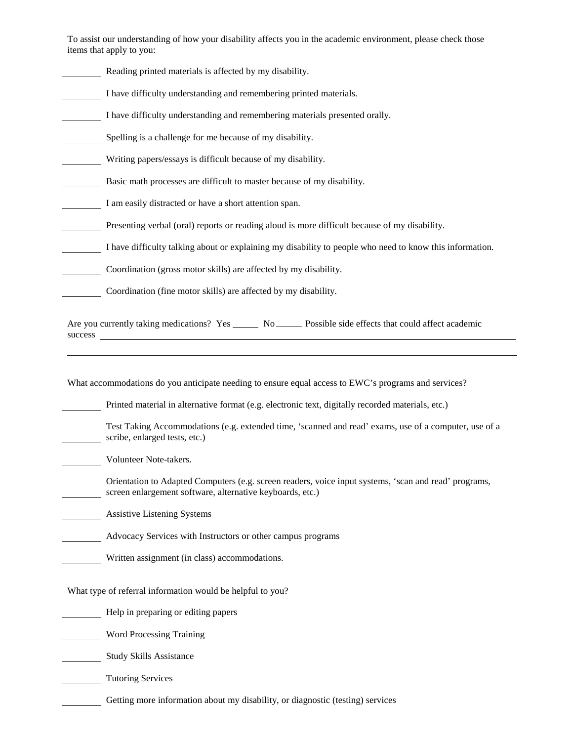To assist our understanding of how your disability affects you in the academic environment, please check those items that apply to you:

Reading printed materials is affected by my disability. I have difficulty understanding and remembering printed materials. I have difficulty understanding and remembering materials presented orally. Spelling is a challenge for me because of my disability. Writing papers/essays is difficult because of my disability. Basic math processes are difficult to master because of my disability. I am easily distracted or have a short attention span. Presenting verbal (oral) reports or reading aloud is more difficult because of my disability. I have difficulty talking about or explaining my disability to people who need to know this information. Coordination (gross motor skills) are affected by my disability. Coordination (fine motor skills) are affected by my disability. Are you currently taking medications? Yes No No Possible side effects that could affect academic success What accommodations do you anticipate needing to ensure equal access to EWC's programs and services? Printed material in alternative format (e.g. electronic text, digitally recorded materials, etc.) Test Taking Accommodations (e.g. extended time, 'scanned and read' exams, use of a computer, use of a scribe, enlarged tests, etc.) Volunteer Note-takers. Orientation to Adapted Computers (e.g. screen readers, voice input systems, 'scan and read' programs, screen enlargement software, alternative keyboards, etc.) Assistive Listening Systems

Advocacy Services with Instructors or other campus programs

Written assignment (in class) accommodations.

What type of referral information would be helpful to you?

Help in preparing or editing papers

Word Processing Training

**Study Skills Assistance** 

Tutoring Services

Getting more information about my disability, or diagnostic (testing) services